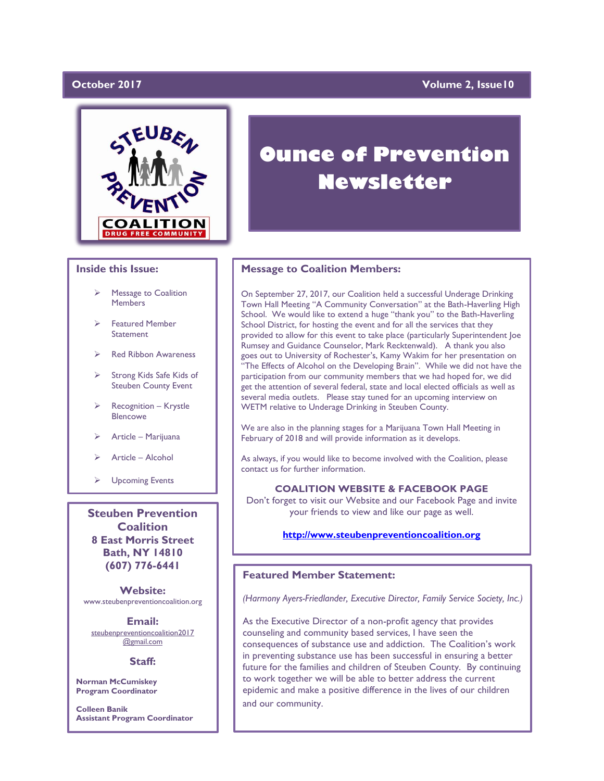# October 2017

# **Volume 2, Issue10**



### **Inside this Issue:**

- Message to Coalition **Members**
- ➢ Featured Member **Statement**
- ➢ Red Ribbon Awareness
- ➢ Strong Kids Safe Kids of Steuben County Event
- ➢ Recognition Krystle Blencowe
- ➢ Article Marijuana
- ➢ Article Alcohol
- ➢ Upcoming Events

**Steuben Prevention Coalition 8 East Morris Street Bath, NY 14810 (607) 776-6441**

**Website:**  www.steubenpreventioncoalition.org

**Email:**  steubenpreventioncoalition2017 @gmail.com

### **Staff:**

**Norman McCumiskey Program Coordinator**

**Colleen Banik Assistant Program Coordinator**

# **Ounce of Prevention Newsletter**

### **Message to Coalition Members:**

On September 27, 2017, our Coalition held a successful Underage Drinking Town Hall Meeting "A Community Conversation" at the Bath-Haverling High School. We would like to extend a huge "thank you" to the Bath-Haverling School District, for hosting the event and for all the services that they provided to allow for this event to take place (particularly Superintendent Joe Rumsey and Guidance Counselor, Mark Recktenwald). A thank you also goes out to University of Rochester's, Kamy Wakim for her presentation on "The Effects of Alcohol on the Developing Brain". While we did not have the participation from our community members that we had hoped for, we did get the attention of several federal, state and local elected officials as well as several media outlets. Please stay tuned for an upcoming interview on WETM relative to Underage Drinking in Steuben County.

We are also in the planning stages for a Marijuana Town Hall Meeting in February of 2018 and will provide information as it develops.

As always, if you would like to become involved with the Coalition, please contact us for further information.

### **COALITION WEBSITE & FACEBOOK PAGE**

Don't forget to visit our Website and our Facebook Page and invite your friends to view and like our page as well.

### **[http://www.steubenpreventioncoalition.org](http://www.steubenpreventioncoalition.org/)**

# **Featured Member Statement:**

*(Harmony Ayers-Friedlander, Executive Director, Family Service Society, Inc.)*

As the Executive Director of a non-profit agency that provides counseling and community based services, I have seen the consequences of substance use and addiction. The Coalition's work in preventing substance use has been successful in ensuring a better future for the families and children of Steuben County. By continuing to work together we will be able to better address the current epidemic and make a positive difference in the lives of our children and our community.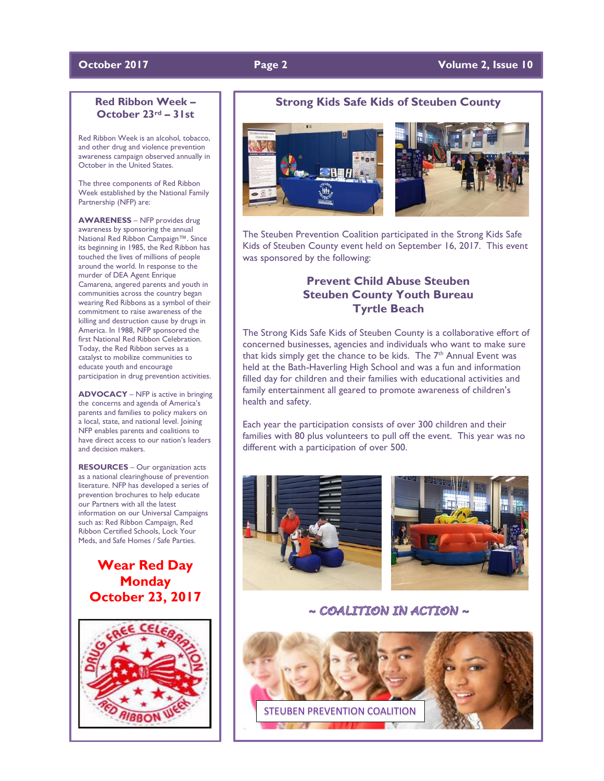# **October 2017 Page 2 Volume 2, Issue 10**

# **Red Ribbon Week – October 23rd – 31st**

Red Ribbon Week is an alcohol, tobacco, and other drug and violence prevention awareness campaign observed annually in October in the United States.

The three components of Red Ribbon Week established by the National Family Partnership (NFP) are:

**AWARENESS** – NFP provides drug awareness by sponsoring the annual National Red Ribbon Campaign™. Since its beginning in 1985, the Red Ribbon has touched the lives of millions of people around the world. In response to the murder of DEA Agent Enrique Camarena, angered parents and youth in communities across the country began wearing Red Ribbons as a symbol of their commitment to raise awareness of the killing and destruction cause by drugs in America. In 1988, NFP sponsored the first National Red Ribbon Celebration. Today, the Red Ribbon serves as a catalyst to mobilize communities to educate youth and encourage participation in drug prevention activities.

**ADVOCACY** – NFP is active in bringing the concerns and agenda of America's parents and families to policy makers on a local, state, and national level. Joining NFP enables parents and coalitions to have direct access to our nation's leaders and decision makers.

**RESOURCES** – Our organization acts as a national clearinghouse of prevention literature. NFP has developed a series of prevention brochures to help educate our Partners with all the latest information on our Universal Campaigns such as: Red Ribbon Campaign, Red Ribbon Certified Schools, Lock Your Meds, and Safe Homes / Safe Parties.

# **Wear Red Day Monday October 23, 2017**



# **Strong Kids Safe Kids of Steuben County**





The Steuben Prevention Coalition participated in the Strong Kids Safe Kids of Steuben County event held on September 16, 2017. This event was sponsored by the following:

# **Prevent Child Abuse Steuben Steuben County Youth Bureau Tyrtle Beach**

The Strong Kids Safe Kids of Steuben County is a collaborative effort of concerned businesses, agencies and individuals who want to make sure that kids simply get the chance to be kids. The  $7<sup>th</sup>$  Annual Event was held at the Bath-Haverling High School and was a fun and information filled day for children and their families with educational activities and family entertainment all geared to promote awareness of children's health and safety.

Each year the participation consists of over 300 children and their families with 80 plus volunteers to pull off the event. This year was no different with a participation of over 500.





~ COALITION IN ACTION ~

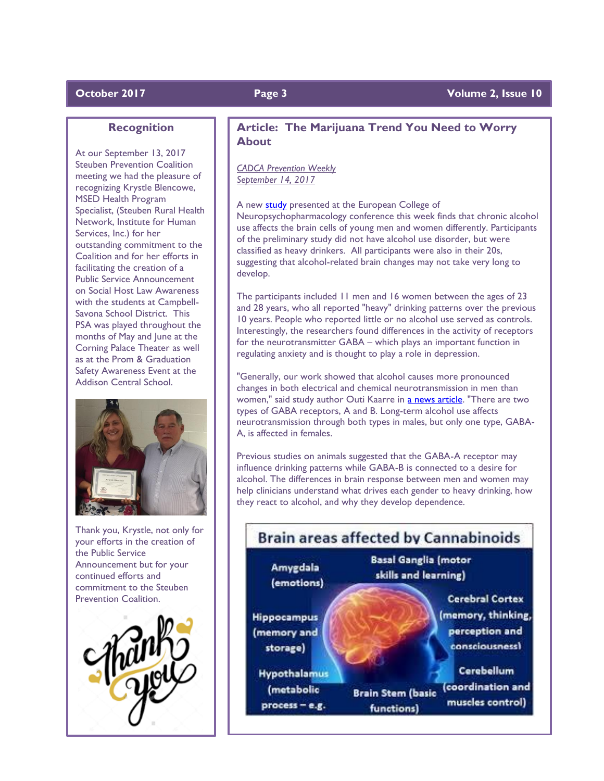# **Recognition**

At our September 13, 2017 Steuben Prevention Coalition meeting we had the pleasure of recognizing Krystle Blencowe, MSED Health Program Specialist, (Steuben Rural Health Network, Institute for Human Services, Inc.) for her outstanding commitment to the Coalition and for her efforts in facilitating the creation of a Public Service Announcement on Social Host Law Awareness with the students at Campbell-Savona School District. This PSA was played throughout the months of May and June at the Corning Palace Theater as well as at the Prom & Graduation Safety Awareness Event at the Addison Central School.



Thank you, Krystle, not only for your efforts in the creation of the Public Service Announcement but for your continued efforts and commitment to the Steuben Prevention Coalition.



# **Article: The Marijuana Trend You Need to Worry About**

### *CADCA Prevention Weekly September 14, 2017*

A new [study](http://www.mmsend36.com/link.cfm?r=ePbJHfqf809e_gxX1SCxCg~~&pe=f9vWv5rnewfPBa1t4FdJkfwSYkPRn-kgxFHXdaXOwKbyJNGDvW7RIcWxiUvO7oq4Z6xjLEu8os9EVD7E1Izk2g~~) presented at the European College of Neuropsychopharmacology conference this week finds that chronic alcohol use affects the brain cells of young men and women differently. Participants of the preliminary study did not have alcohol use disorder, but were classified as heavy drinkers. All participants were also in their 20s, suggesting that alcohol-related brain changes may not take very long to develop.

The participants included 11 men and 16 women between the ages of 23 and 28 years, who all reported "heavy" drinking patterns over the previous 10 years. People who reported little or no alcohol use served as controls. Interestingly, the researchers found differences in the activity of receptors for the neurotransmitter GABA – which plays an important function in regulating anxiety and is thought to play a role in depression.

"Generally, our work showed that alcohol causes more pronounced changes in both electrical and chemical neurotransmission in men than women," said study author Outi Kaarre in [a news article.](http://www.mmsend36.com/link.cfm?r=ePbJHfqf809e_gxX1SCxCg~~&pe=0EYW4QJQDvft9CZNGO-p9yTr_Q80YsgNsXN9gS4J8ocrXthE0UW6Gy8P6mww33U2_jZ1R1kSnVS_bb0SY3-K6w~~) "There are two types of GABA receptors, A and B. Long-term alcohol use affects neurotransmission through both types in males, but only one type, GABA-A, is affected in females.

Previous studies on animals suggested that the GABA-A receptor may influence drinking patterns while GABA-B is connected to a desire for alcohol. The differences in brain response between men and women may help clinicians understand what drives each gender to heavy drinking, how they react to alcohol, and why they develop dependence.